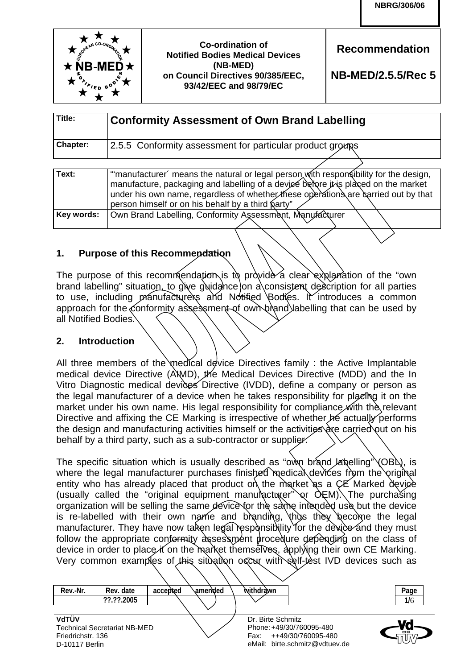

**Recommendation** 

**NB-MED/2.5.5/Rec 5**

| Title:          | <b>Conformity Assessment of Own Brand Labelling</b>       |
|-----------------|-----------------------------------------------------------|
| <b>Chapter:</b> | 2.5.5 Conformity assessment for particular product groups |

| Text:      | "manufacturer' means the natural or legal person with respon sibility for the design,<br>manufacture, packaging and labelling of a device before it is placed on the market<br>under his own name, regardless of whether these operations are carried out by that<br>person himself or on his behalf by a third party" |
|------------|------------------------------------------------------------------------------------------------------------------------------------------------------------------------------------------------------------------------------------------------------------------------------------------------------------------------|
|            |                                                                                                                                                                                                                                                                                                                        |
| Key words: | Own Brand Labelling, Conformity Assessment, Manufacturer                                                                                                                                                                                                                                                               |
|            |                                                                                                                                                                                                                                                                                                                        |

# **1. Purpose of this Recommendation**

The purpose of this recommendation is to provide a clear explanation of the "own brand labelling" situation, to give guidance on a consistent description for all parties to use, including manufacturers and Notified Bodies. It introduces a common approach for the conformity assessment of own brand labelling that can be used by all Notified Bodies.

## **2. Introduction**

All three members of the medical device Directives family : the Active Implantable medical device Directive (AIMD), the Medical Devices Directive (MDD) and the In Vitro Diagnostic medical devices Directive (IVDD), define a company or person as the legal manufacturer of a device when he takes responsibility for placing it on the market under his own name. His legal responsibility for compliance with the relevant Directive and affixing the CE Marking is irrespective of whether he actually performs the design and manufacturing activities himself or the activities  $\alpha$  carried out on his behalf by a third party, such as a sub-contractor or supplier.

The specific situation which is usually described as "own brand labelling"  $\langle OBA \rangle$ , is where the legal manufacturer purchases finished medical devices from the original entity who has already placed that product on the market as a CE Marked device (usually called the "original equipment manumetary  $\alpha$   $\lambda$   $\lambda$  The purchasing organization will be selling the same device for the same intended use but the device is re-labelled with their own name and branding, thus they become the legal manufacturer. They have now taken legal responsibility for the device and they must follow the appropriate conformity assessment procedure depending on the class of device in order to place it on the market themselves, applying their own CE Marking. Very common examples of this situation occur with self-test IVD devices such as

| Rev.-Nr.          | Rev. date                           | accepted | ∖amended | withdrawn                      | Page |
|-------------------|-------------------------------------|----------|----------|--------------------------------|------|
|                   | ??.??.2005                          |          |          |                                | 1/6  |
|                   |                                     |          |          |                                |      |
| VdTÜV             |                                     |          |          | Dr. Birte Schmitz              |      |
|                   | <b>Technical Secretariat NB-MED</b> |          |          | Phone: +49/30/760095-480       | оó   |
| Friedrichstr. 136 |                                     |          |          | ++49/30/760095-480<br>Fax:     |      |
| D-10117 Berlin    |                                     |          |          | eMail: birte.schmitz@vdtuev.de |      |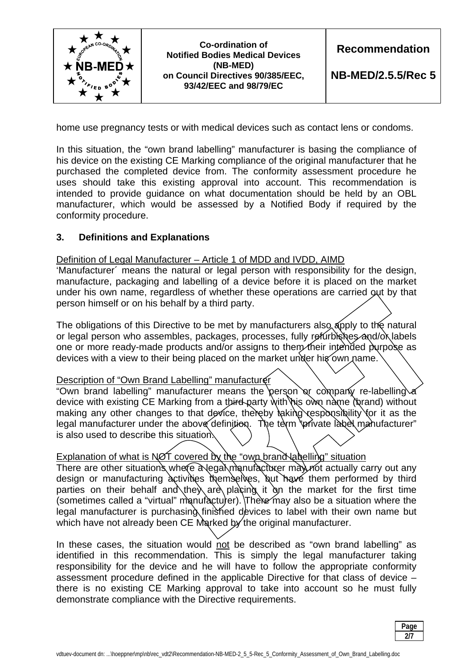

home use pregnancy tests or with medical devices such as contact lens or condoms.

In this situation, the "own brand labelling" manufacturer is basing the compliance of his device on the existing CE Marking compliance of the original manufacturer that he purchased the completed device from. The conformity assessment procedure he uses should take this existing approval into account. This recommendation is intended to provide guidance on what documentation should be held by an OBL manufacturer, which would be assessed by a Notified Body if required by the conformity procedure.

#### **3. Definitions and Explanations**

#### Definition of Legal Manufacturer – Article 1 of MDD and IVDD, AIMD

'Manufacturer´ means the natural or legal person with responsibility for the design, manufacture, packaging and labelling of a device before it is placed on the market under his own name, regardless of whether these operations are carried out by that person himself or on his behalf by a third party.

The obligations of this Directive to be met by manufacturers also apply to the natural or legal person who assembles, packages, processes, fully refurbishes and/ox labels one or more ready-made products and/or assigns to them their intended purpose as devices with a view to their being placed on the market under hig own name.

#### Description of "Own Brand Labelling" manufacturer

"Own brand labelling" manufacturer means the person or company re-labelling device with existing CE Marking from a third party with his own name (brand) without making any other changes to that device, thereby  $\frac{1}{2}$  aking responsibility for it as the legal manufacturer under the above definition. The term 'private label manufacturer" is also used to describe this situation.

# Explanation of what is NOT covered by the "own brand Nabelling" situation

There are other situations where a legal manufacturer may not actually carry out any design or manufacturing activities themselves, but have them performed by third parties on their behalf and they are placing it on the market for the first time  $($ sometimes called a "virtual" manufacturer). There may also be a situation where the legal manufacturer is purchasing finished devices to label with their own name but which have not already been CE Marked by the original manufacturer.

In these cases, the situation would not be described as "own brand labelling" as identified in this recommendation. This is simply the legal manufacturer taking responsibility for the device and he will have to follow the appropriate conformity assessment procedure defined in the applicable Directive for that class of device – there is no existing CE Marking approval to take into account so he must fully demonstrate compliance with the Directive requirements.

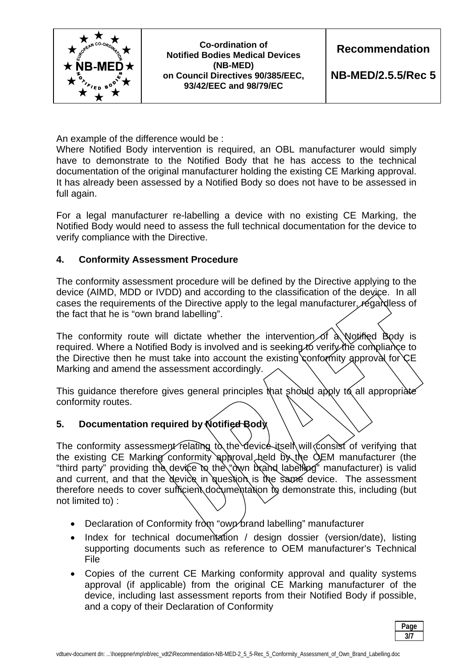

An example of the difference would be :

Where Notified Body intervention is required, an OBL manufacturer would simply have to demonstrate to the Notified Body that he has access to the technical documentation of the original manufacturer holding the existing CE Marking approval. It has already been assessed by a Notified Body so does not have to be assessed in full again.

For a legal manufacturer re-labelling a device with no existing CE Marking, the Notified Body would need to assess the full technical documentation for the device to verify compliance with the Directive.

# **4. Conformity Assessment Procedure**

The conformity assessment procedure will be defined by the Directive applying to the device (AIMD, MDD or IVDD) and according to the classification of the device. In all cases the requirements of the Directive apply to the legal manufacturer, regardless of the fact that he is "own brand labelling".

The conformity route will dictate whether the intervention of  $\alpha$  Notified Body is required. Where a Notified Body is involved and is seeking to verify the compliance to the Directive then he must take into account the existing conformity approval for  $CE$ Marking and amend the assessment accordingly.

This guidance therefore gives general principles that should apply to all appropriate conformity routes.

# **5. Documentation required by Notified Body**

The conformity assessment relating to the device itself will consist of verifying that the existing CE Marking conformity approval held  $\delta x$  the  $\delta$ EM manufacturer (the "third party" providing the device to the "own brand labelling" manufacturer) is valid and current, and that the device in question is the same device. The assessment therefore needs to cover sufficient documentation to demonstrate this, including (but not limited to) :

- Declaration of Conformity from "own brand labelling" manufacturer
- Index for technical documentation / design dossier (version/date), listing supporting documents such as reference to OEM manufacturer's Technical File
- Copies of the current CE Marking conformity approval and quality systems approval (if applicable) from the original CE Marking manufacturer of the device, including last assessment reports from their Notified Body if possible, and a copy of their Declaration of Conformity

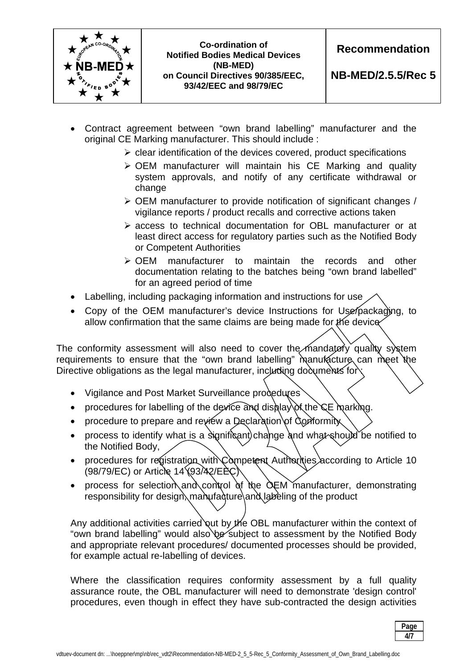

**Recommendation** 

**NB-MED/2.5.5/Rec 5**

- Contract agreement between "own brand labelling" manufacturer and the original CE Marking manufacturer. This should include :
	- $\triangleright$  clear identification of the devices covered, product specifications
	- OEM manufacturer will maintain his CE Marking and quality system approvals, and notify of any certificate withdrawal or change
	- $\triangleright$  OEM manufacturer to provide notification of significant changes / vigilance reports / product recalls and corrective actions taken
	- access to technical documentation for OBL manufacturer or at least direct access for regulatory parties such as the Notified Body or Competent Authorities
	- OEM manufacturer to maintain the records and other documentation relating to the batches being "own brand labelled" for an agreed period of time
- Labelling, including packaging information and instructions for use
- Copy of the OEM manufacturer's device Instructions for Use packaging, to allow confirmation that the same claims are being made for the device

The conformity assessment will also need to cover the mandatory quality system requirements to ensure that the "own brand labelling" manutecture can meet the Directive obligations as the legal manufacturer, including documents for

- Vigilance and Post Market Surveillance procedures
- procedures for labelling of the device and display of the  $CE$  marking.
- procedure to prepare and review a Declaration of Conformity
- process to identify what is a significant) change and what should be notified to the Notified Body,
- procedures for registration with Competent Authorities according to Article 10 (98/79/EC) or Article 14 (93/42/EEC)
- process for selection and control of the  $\alpha$ EM manufacturer, demonstrating responsibility for design, manufacture and labeling of the product

Any additional activities carried out by the OBL manufacturer within the context of "own brand labelling" would also be subject to assessment by the Notified Body and appropriate relevant procedures/ documented processes should be provided, for example actual re-labelling of devices.

Where the classification requires conformity assessment by a full quality assurance route, the OBL manufacturer will need to demonstrate 'design control' procedures, even though in effect they have sub-contracted the design activities

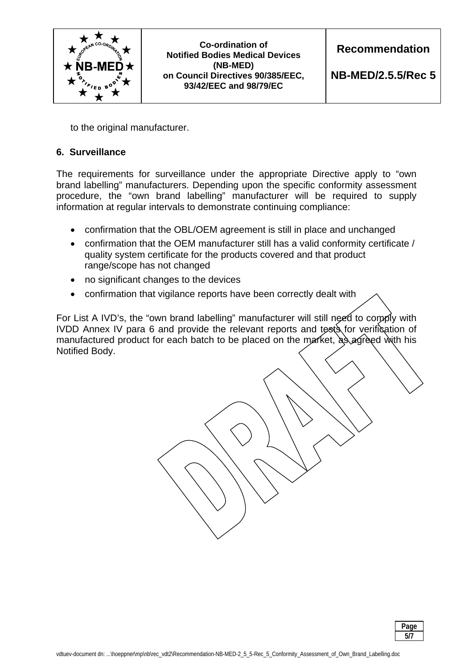

**Recommendation** 

**NB-MED/2.5.5/Rec 5**

to the original manufacturer.

## **6. Surveillance**

The requirements for surveillance under the appropriate Directive apply to "own brand labelling" manufacturers. Depending upon the specific conformity assessment procedure, the "own brand labelling" manufacturer will be required to supply information at regular intervals to demonstrate continuing compliance:

- confirmation that the OBL/OEM agreement is still in place and unchanged
- confirmation that the OEM manufacturer still has a valid conformity certificate / quality system certificate for the products covered and that product range/scope has not changed
- no significant changes to the devices
- confirmation that vigilance reports have been correctly dealt with

For List A IVD's, the "own brand labelling" manufacturer will still need to comply with IVDD Annex IV para 6 and provide the relevant reports and tests for verification of manufactured product for each batch to be placed on the market,  $a\lambda$  agreed with his Notified Body.

 **Page 1 5/7**